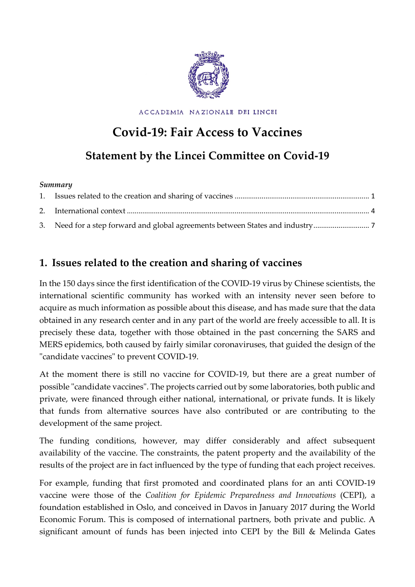

ACCADEMIA NAZIONALE DEI LINCEI

# **Covid-19: Fair Access to Vaccines**

## **Statement by the Lincei Committee on Covid-19**

#### *Summary*

## <span id="page-0-0"></span>**1. Issues related to the creation and sharing of vaccines**

In the 150 days since the first identification of the COVID-19 virus by Chinese scientists, the international scientific community has worked with an intensity never seen before to acquire as much information as possible about this disease, and has made sure that the data obtained in any research center and in any part of the world are freely accessible to all. It is precisely these data, together with those obtained in the past concerning the SARS and MERS epidemics, both caused by fairly similar coronaviruses, that guided the design of the "candidate vaccines" to prevent COVID-19.

At the moment there is still no vaccine for COVID-19, but there are a great number of possible "candidate vaccines". The projects carried out by some laboratories, both public and private, were financed through either national, international, or private funds. It is likely that funds from alternative sources have also contributed or are contributing to the development of the same project.

The funding conditions, however, may differ considerably and affect subsequent availability of the vaccine. The constraints, the patent property and the availability of the results of the project are in fact influenced by the type of funding that each project receives.

For example, funding that first promoted and coordinated plans for an anti COVID-19 vaccine were those of the *Coalition for Epidemic Preparedness and Innovations* (CEPI), a foundation established in Oslo, and conceived in Davos in January 2017 during the World Economic Forum. This is composed of international partners, both private and public. A significant amount of funds has been injected into CEPI by the Bill & Melinda Gates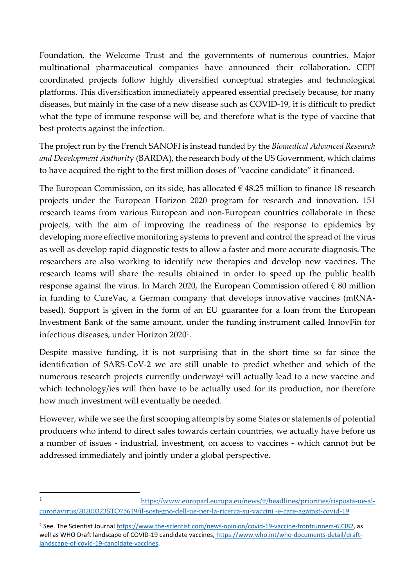Foundation, the Welcome Trust and the governments of numerous countries. Major multinational pharmaceutical companies have announced their collaboration. CEPI coordinated projects follow highly diversified conceptual strategies and technological platforms. This diversification immediately appeared essential precisely because, for many diseases, but mainly in the case of a new disease such as COVID-19, it is difficult to predict what the type of immune response will be, and therefore what is the type of vaccine that best protects against the infection.

The project run by the French SANOFI is instead funded by the *Biomedical Advanced Research and Development Authorit*y (BARDA), the research body of the US Government, which claims to have acquired the right to the first million doses of "vaccine candidate" it financed.

The European Commission, on its side, has allocated  $\epsilon$  48.25 million to finance 18 research projects under the European Horizon 2020 program for research and innovation. 151 research teams from various European and non-European countries collaborate in these projects, with the aim of improving the readiness of the response to epidemics by developing more effective monitoring systems to prevent and control the spread of the virus as well as develop rapid diagnostic tests to allow a faster and more accurate diagnosis. The researchers are also working to identify new therapies and develop new vaccines. The research teams will share the results obtained in order to speed up the public health response against the virus. In March 2020, the European Commission offered  $\epsilon$  80 million in funding to CureVac, a German company that develops innovative vaccines (mRNAbased). Support is given in the form of an EU guarantee for a loan from the European Investment Bank of the same amount, under the funding instrument called InnovFin for infectious diseases, under Horizon 2020[1](#page-1-0).

Despite massive funding, it is not surprising that in the short time so far since the identification of SARS-CoV-2 we are still unable to predict whether and which of the numerous research projects currently underway<sup>[2](#page-1-1)</sup> will actually lead to a new vaccine and which technology/ies will then have to be actually used for its production, nor therefore how much investment will eventually be needed.

However, while we see the first scooping attempts by some States or statements of potential producers who intend to direct sales towards certain countries, we actually have before us a number of issues - industrial, investment, on access to vaccines - which cannot but be addressed immediately and jointly under a global perspective.

<span id="page-1-0"></span><sup>1</sup> [https://www.europarl.europa.eu/news/it/headlines/priorities/risposta-ue-al](https://www.europarl.europa.eu/news/it/headlines/priorities/risposta-ue-al-coronavirus/20200323STO75619/il-sostegno-dell-ue-per-la-ricerca-su-vaccini%20-e-care-against-covid-19)[coronavirus/20200323STO75619/il-sostegno-dell-ue-per-la-ricerca-su-vaccini -e-care-against-covid-19](https://www.europarl.europa.eu/news/it/headlines/priorities/risposta-ue-al-coronavirus/20200323STO75619/il-sostegno-dell-ue-per-la-ricerca-su-vaccini%20-e-care-against-covid-19) 

<span id="page-1-1"></span><sup>&</sup>lt;sup>2</sup> See. The Scientist Journa[l https://www.the-scientist.com/news-opinion/covid-19-vaccine-frontrunners-67382,](https://www.the-scientist.com/news-opinion/covid-19-vaccine-frontrunners-67382) as well as WHO Draft landscape of COVID-19 candidate vaccines, [https://www.who.int/who-documents-detail/draft](https://www.who.int/who-documents-detail/draft-landscape-of-covid-19-candidate-vaccines)[landscape-of-covid-19-candidate-vaccines.](https://www.who.int/who-documents-detail/draft-landscape-of-covid-19-candidate-vaccines)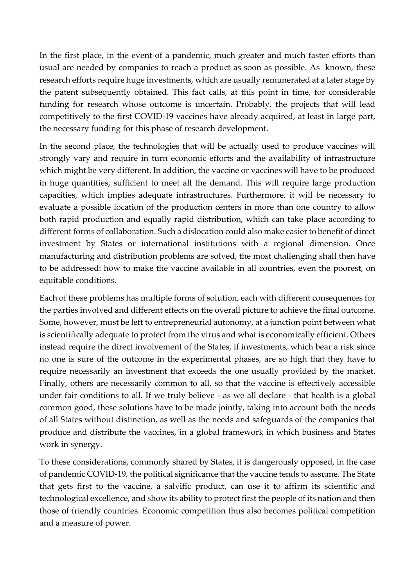In the first place, in the event of a pandemic, much greater and much faster efforts than usual are needed by companies to reach a product as soon as possible. As known, these research efforts require huge investments, which are usually remunerated at a later stage by the patent subsequently obtained. This fact calls, at this point in time, for considerable funding for research whose outcome is uncertain. Probably, the projects that will lead competitively to the first COVID-19 vaccines have already acquired, at least in large part, the necessary funding for this phase of research development.

In the second place, the technologies that will be actually used to produce vaccines will strongly vary and require in turn economic efforts and the availability of infrastructure which might be very different. In addition, the vaccine or vaccines will have to be produced in huge quantities, sufficient to meet all the demand. This will require large production capacities, which implies adequate infrastructures. Furthermore, it will be necessary to evaluate a possible location of the production centers in more than one country to allow both rapid production and equally rapid distribution, which can take place according to different forms of collaboration. Such a dislocation could also make easier to benefit of direct investment by States or international institutions with a regional dimension. Once manufacturing and distribution problems are solved, the most challenging shall then have to be addressed: how to make the vaccine available in all countries, even the poorest, on equitable conditions.

Each of these problems has multiple forms of solution, each with different consequences for the parties involved and different effects on the overall picture to achieve the final outcome. Some, however, must be left to entrepreneurial autonomy, at a junction point between what is scientifically adequate to protect from the virus and what is economically efficient. Others instead require the direct involvement of the States, if investments, which bear a risk since no one is sure of the outcome in the experimental phases, are so high that they have to require necessarily an investment that exceeds the one usually provided by the market. Finally, others are necessarily common to all, so that the vaccine is effectively accessible under fair conditions to all. If we truly believe - as we all declare - that health is a global common good, these solutions have to be made jointly, taking into account both the needs of all States without distinction, as well as the needs and safeguards of the companies that produce and distribute the vaccines, in a global framework in which business and States work in synergy.

To these considerations, commonly shared by States, it is dangerously opposed, in the case of pandemic COVID-19, the political significance that the vaccine tends to assume. The State that gets first to the vaccine, a salvific product, can use it to affirm its scientific and technological excellence, and show its ability to protect first the people of its nation and then those of friendly countries. Economic competition thus also becomes political competition and a measure of power.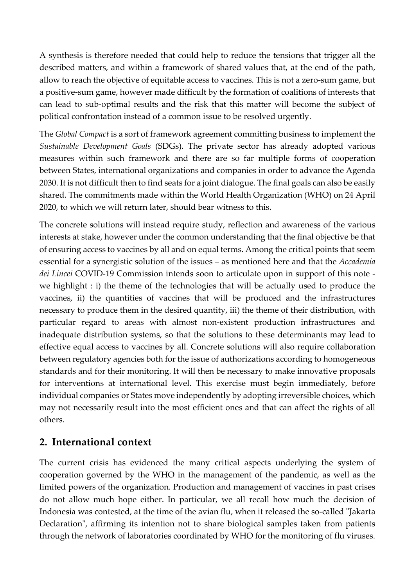A synthesis is therefore needed that could help to reduce the tensions that trigger all the described matters, and within a framework of shared values that, at the end of the path, allow to reach the objective of equitable access to vaccines. This is not a zero-sum game, but a positive-sum game, however made difficult by the formation of coalitions of interests that can lead to sub-optimal results and the risk that this matter will become the subject of political confrontation instead of a common issue to be resolved urgently.

The *Global Compact* is a sort of framework agreement committing business to implement the *Sustainable Development Goals* (SDGs). The private sector has already adopted various measures within such framework and there are so far multiple forms of cooperation between States, international organizations and companies in order to advance the Agenda 2030. It is not difficult then to find seats for a joint dialogue. The final goals can also be easily shared. The commitments made within the World Health Organization (WHO) on 24 April 2020, to which we will return later, should bear witness to this.

The concrete solutions will instead require study, reflection and awareness of the various interests at stake, however under the common understanding that the final objective be that of ensuring access to vaccines by all and on equal terms. Among the critical points that seem essential for a synergistic solution of the issues – as mentioned here and that the *Accademia dei Lincei* COVID-19 Commission intends soon to articulate upon in support of this note we highlight : i) the theme of the technologies that will be actually used to produce the vaccines, ii) the quantities of vaccines that will be produced and the infrastructures necessary to produce them in the desired quantity, iii) the theme of their distribution, with particular regard to areas with almost non-existent production infrastructures and inadequate distribution systems, so that the solutions to these determinants may lead to effective equal access to vaccines by all. Concrete solutions will also require collaboration between regulatory agencies both for the issue of authorizations according to homogeneous standards and for their monitoring. It will then be necessary to make innovative proposals for interventions at international level. This exercise must begin immediately, before individual companies or States move independently by adopting irreversible choices, which may not necessarily result into the most efficient ones and that can affect the rights of all others.

### <span id="page-3-0"></span>**2. International context**

The current crisis has evidenced the many critical aspects underlying the system of cooperation governed by the WHO in the management of the pandemic, as well as the limited powers of the organization. Production and management of vaccines in past crises do not allow much hope either. In particular, we all recall how much the decision of Indonesia was contested, at the time of the avian flu, when it released the so-called "Jakarta Declaration", affirming its intention not to share biological samples taken from patients through the network of laboratories coordinated by WHO for the monitoring of flu viruses.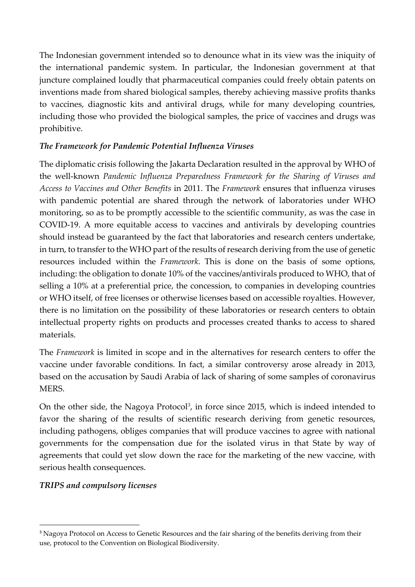The Indonesian government intended so to denounce what in its view was the iniquity of the international pandemic system. In particular, the Indonesian government at that juncture complained loudly that pharmaceutical companies could freely obtain patents on inventions made from shared biological samples, thereby achieving massive profits thanks to vaccines, diagnostic kits and antiviral drugs, while for many developing countries, including those who provided the biological samples, the price of vaccines and drugs was prohibitive.

#### *The Framework for Pandemic Potential Influenza Viruses*

The diplomatic crisis following the Jakarta Declaration resulted in the approval by WHO of the well-known *Pandemic Influenza Preparedness Framework for the Sharing of Viruses and Access to Vaccines and Other Benefits* in 2011. The *Framework* ensures that influenza viruses with pandemic potential are shared through the network of laboratories under WHO monitoring, so as to be promptly accessible to the scientific community, as was the case in COVID-19. A more equitable access to vaccines and antivirals by developing countries should instead be guaranteed by the fact that laboratories and research centers undertake, in turn, to transfer to the WHO part of the results of research deriving from the use of genetic resources included within the *Framework*. This is done on the basis of some options, including: the obligation to donate 10% of the vaccines/antivirals produced to WHO, that of selling a 10% at a preferential price, the concession, to companies in developing countries or WHO itself, of free licenses or otherwise licenses based on accessible royalties. However, there is no limitation on the possibility of these laboratories or research centers to obtain intellectual property rights on products and processes created thanks to access to shared materials.

The *Framework* is limited in scope and in the alternatives for research centers to offer the vaccine under favorable conditions. In fact, a similar controversy arose already in 2013, based on the accusation by Saudi Arabia of lack of sharing of some samples of coronavirus MERS.

On the other side, the Nagoya Protocol<sup>[3](#page-4-0)</sup>, in force since 2015, which is indeed intended to favor the sharing of the results of scientific research deriving from genetic resources, including pathogens, obliges companies that will produce vaccines to agree with national governments for the compensation due for the isolated virus in that State by way of agreements that could yet slow down the race for the marketing of the new vaccine, with serious health consequences.

#### *TRIPS and compulsory licenses*

<span id="page-4-0"></span><sup>&</sup>lt;sup>3</sup> Nagoya Protocol on Access to Genetic Resources and the fair sharing of the benefits deriving from their use, protocol to the Convention on Biological Biodiversity.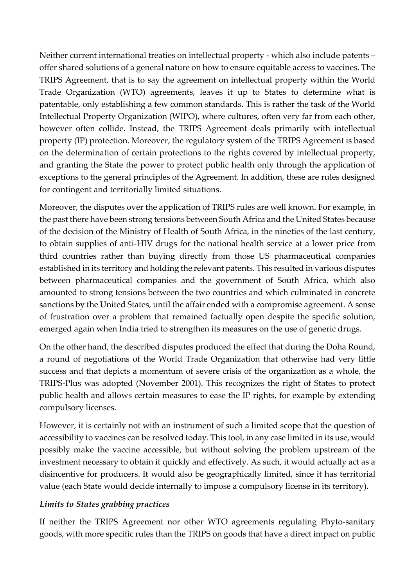Neither current international treaties on intellectual property - which also include patents – offer shared solutions of a general nature on how to ensure equitable access to vaccines. The TRIPS Agreement, that is to say the agreement on intellectual property within the World Trade Organization (WTO) agreements, leaves it up to States to determine what is patentable, only establishing a few common standards. This is rather the task of the World Intellectual Property Organization (WIPO), where cultures, often very far from each other, however often collide. Instead, the TRIPS Agreement deals primarily with intellectual property (IP) protection. Moreover, the regulatory system of the TRIPS Agreement is based on the determination of certain protections to the rights covered by intellectual property, and granting the State the power to protect public health only through the application of exceptions to the general principles of the Agreement. In addition, these are rules designed for contingent and territorially limited situations.

Moreover, the disputes over the application of TRIPS rules are well known. For example, in the past there have been strong tensions between South Africa and the United States because of the decision of the Ministry of Health of South Africa, in the nineties of the last century, to obtain supplies of anti-HIV drugs for the national health service at a lower price from third countries rather than buying directly from those US pharmaceutical companies established in its territory and holding the relevant patents. This resulted in various disputes between pharmaceutical companies and the government of South Africa, which also amounted to strong tensions between the two countries and which culminated in concrete sanctions by the United States, until the affair ended with a compromise agreement. A sense of frustration over a problem that remained factually open despite the specific solution, emerged again when India tried to strengthen its measures on the use of generic drugs.

On the other hand, the described disputes produced the effect that during the Doha Round, a round of negotiations of the World Trade Organization that otherwise had very little success and that depicts a momentum of severe crisis of the organization as a whole, the TRIPS-Plus was adopted (November 2001). This recognizes the right of States to protect public health and allows certain measures to ease the IP rights, for example by extending compulsory licenses.

However, it is certainly not with an instrument of such a limited scope that the question of accessibility to vaccines can be resolved today. This tool, in any case limited in its use, would possibly make the vaccine accessible, but without solving the problem upstream of the investment necessary to obtain it quickly and effectively. As such, it would actually act as a disincentive for producers. It would also be geographically limited, since it has territorial value (each State would decide internally to impose a compulsory license in its territory).

#### *Limits to States grabbing practices*

If neither the TRIPS Agreement nor other WTO agreements regulating Phyto-sanitary goods, with more specific rules than the TRIPS on goods that have a direct impact on public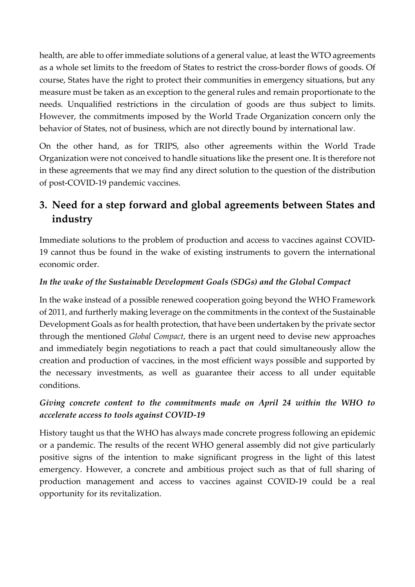health, are able to offer immediate solutions of a general value, at least the WTO agreements as a whole set limits to the freedom of States to restrict the cross-border flows of goods. Of course, States have the right to protect their communities in emergency situations, but any measure must be taken as an exception to the general rules and remain proportionate to the needs. Unqualified restrictions in the circulation of goods are thus subject to limits. However, the commitments imposed by the World Trade Organization concern only the behavior of States, not of business, which are not directly bound by international law.

On the other hand, as for TRIPS, also other agreements within the World Trade Organization were not conceived to handle situations like the present one. It is therefore not in these agreements that we may find any direct solution to the question of the distribution of post-COVID-19 pandemic vaccines.

## <span id="page-6-0"></span>**3. Need for a step forward and global agreements between States and industry**

Immediate solutions to the problem of production and access to vaccines against COVID-19 cannot thus be found in the wake of existing instruments to govern the international economic order.

#### *In the wake of the Sustainable Development Goals (SDGs) and the Global Compact*

In the wake instead of a possible renewed cooperation going beyond the WHO Framework of 2011, and furtherly making leverage on the commitments in the context of the Sustainable Development Goals as for health protection, that have been undertaken by the private sector through the mentioned *Global Compact*, there is an urgent need to devise new approaches and immediately begin negotiations to reach a pact that could simultaneously allow the creation and production of vaccines, in the most efficient ways possible and supported by the necessary investments, as well as guarantee their access to all under equitable conditions.

#### *Giving concrete content to the commitments made on April 24 within the WHO to accelerate access to tools against COVID-19*

History taught us that the WHO has always made concrete progress following an epidemic or a pandemic. The results of the recent WHO general assembly did not give particularly positive signs of the intention to make significant progress in the light of this latest emergency. However, a concrete and ambitious project such as that of full sharing of production management and access to vaccines against COVID-19 could be a real opportunity for its revitalization.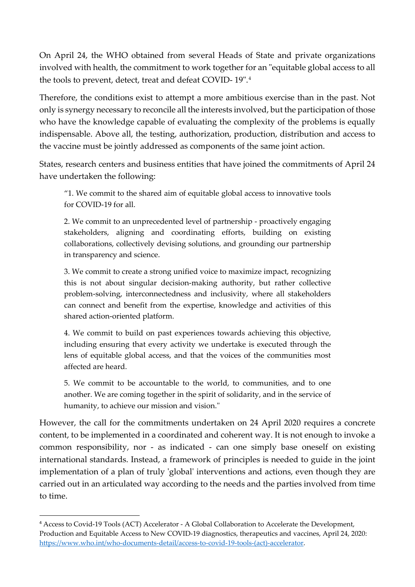On April 24, the WHO obtained from several Heads of State and private organizations involved with health, the commitment to work together for an "equitable global access to all the tools to prevent, detect, treat and defeat COVID- 19".[4](#page-7-0)

Therefore, the conditions exist to attempt a more ambitious exercise than in the past. Not only is synergy necessary to reconcile all the interests involved, but the participation of those who have the knowledge capable of evaluating the complexity of the problems is equally indispensable. Above all, the testing, authorization, production, distribution and access to the vaccine must be jointly addressed as components of the same joint action.

States, research centers and business entities that have joined the commitments of April 24 have undertaken the following:

"1. We commit to the shared aim of equitable global access to innovative tools for COVID-19 for all.

2. We commit to an unprecedented level of partnership - proactively engaging stakeholders, aligning and coordinating efforts, building on existing collaborations, collectively devising solutions, and grounding our partnership in transparency and science.

3. We commit to create a strong unified voice to maximize impact, recognizing this is not about singular decision-making authority, but rather collective problem-solving, interconnectedness and inclusivity, where all stakeholders can connect and benefit from the expertise, knowledge and activities of this shared action-oriented platform.

4. We commit to build on past experiences towards achieving this objective, including ensuring that every activity we undertake is executed through the lens of equitable global access, and that the voices of the communities most affected are heard.

5. We commit to be accountable to the world, to communities, and to one another. We are coming together in the spirit of solidarity, and in the service of humanity, to achieve our mission and vision."

However, the call for the commitments undertaken on 24 April 2020 requires a concrete content, to be implemented in a coordinated and coherent way. It is not enough to invoke a common responsibility, nor - as indicated - can one simply base oneself on existing international standards. Instead, a framework of principles is needed to guide in the joint implementation of a plan of truly 'global' interventions and actions, even though they are carried out in an articulated way according to the needs and the parties involved from time to time.

<span id="page-7-0"></span><sup>4</sup> Access to Covid-19 Tools (ACT) Accelerator - A Global Collaboration to Accelerate the Development, Production and Equitable Access to New COVID-19 diagnostics, therapeutics and vaccines, April 24, 2020: [https://www.who.int/who-documents-detail/access-to-covid-19-tools-\(act\)-accelerator.](https://www.who.int/who-documents-detail/access-to-covid-19-tools-(act)-accelerator)